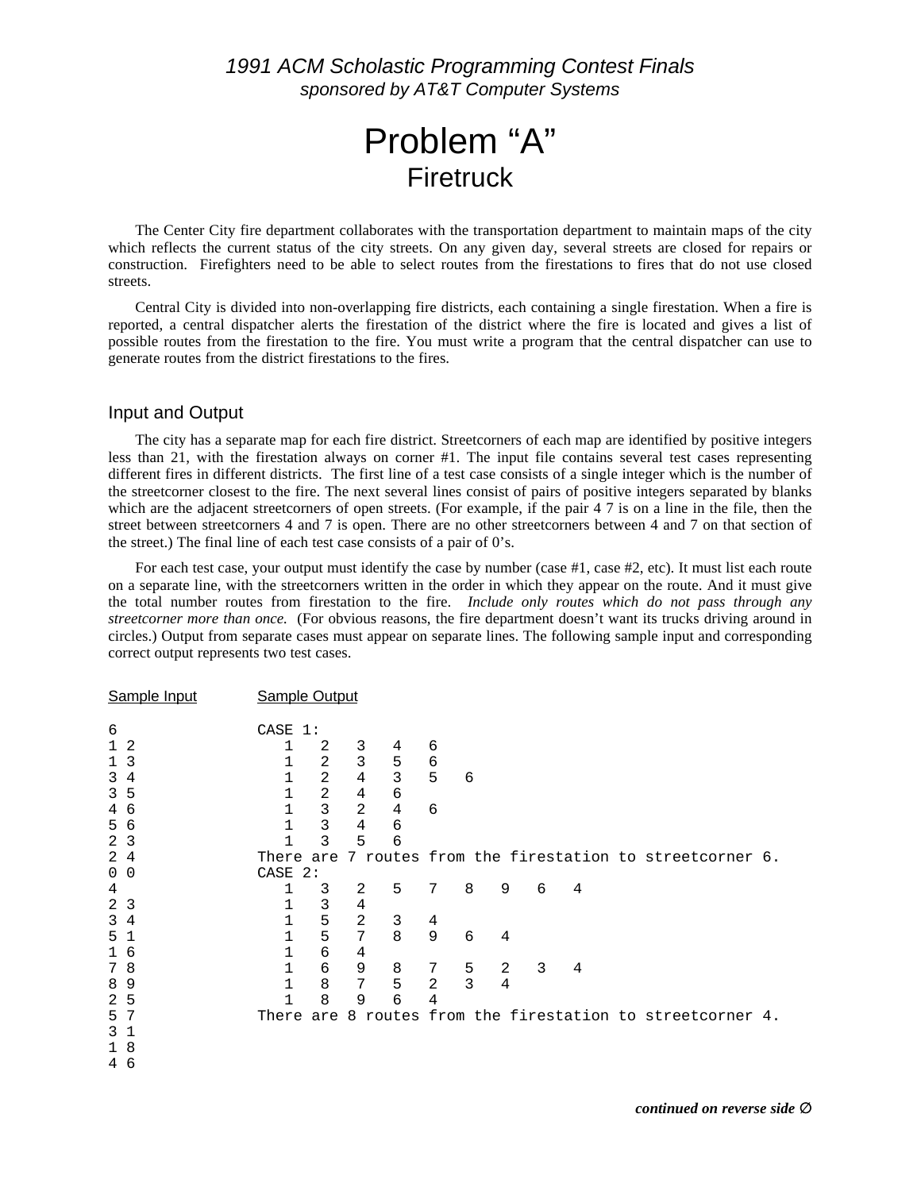# 1991 ACM Scholastic Programming Contest Finals sponsored by AT&T Computer Systems

# Problem "A" **Firetruck**

The Center City fire department collaborates with the transportation department to maintain maps of the city which reflects the current status of the city streets. On any given day, several streets are closed for repairs or construction. Firefighters need to be able to select routes from the firestations to fires that do not use closed streets.

Central City is divided into non-overlapping fire districts, each containing a single firestation. When a fire is reported, a central dispatcher alerts the firestation of the district where the fire is located and gives a list of possible routes from the firestation to the fire. You must write a program that the central dispatcher can use to generate routes from the district firestations to the fires.

### Input and Output

The city has a separate map for each fire district. Streetcorners of each map are identified by positive integers less than 21, with the firestation always on corner #1. The input file contains several test cases representing different fires in different districts. The first line of a test case consists of a single integer which is the number of the streetcorner closest to the fire. The next several lines consist of pairs of positive integers separated by blanks which are the adjacent streetcorners of open streets. (For example, if the pair 4 7 is on a line in the file, then the street between streetcorners 4 and 7 is open. There are no other streetcorners between 4 and 7 on that section of the street.) The final line of each test case consists of a pair of 0's.

For each test case, your output must identify the case by number (case #1, case #2, etc). It must list each route on a separate line, with the streetcorners written in the order in which they appear on the route. And it must give the total number routes from firestation to the fire. *Include only routes which do not pass through any streetcorner more than once.* (For obvious reasons, the fire department doesn't want its trucks driving around in circles.) Output from separate cases must appear on separate lines. The following sample input and corresponding correct output represents two test cases.

| Sample Input      | <b>Sample Output</b> |                |                |   |                |   |                |   |   |                                                            |  |
|-------------------|----------------------|----------------|----------------|---|----------------|---|----------------|---|---|------------------------------------------------------------|--|
| 6                 | CASE 1:              |                |                |   |                |   |                |   |   |                                                            |  |
| $\mathbf{1}$<br>2 | 1                    | 2              | 3              | 4 | 6              |   |                |   |   |                                                            |  |
| 3<br>1            |                      | $\overline{2}$ | $\mathbf{3}$   | 5 | 6              |   |                |   |   |                                                            |  |
| 3                 |                      | $\sqrt{2}$     | 4              | 3 | 5              | 6 |                |   |   |                                                            |  |
| 3<br>5            |                      | $\overline{2}$ | $\overline{4}$ | 6 |                |   |                |   |   |                                                            |  |
| 6<br>4            |                      | 3              | $\overline{2}$ | 4 | 6              |   |                |   |   |                                                            |  |
| 5<br>6            | $\mathbf{1}$         | 3              | $\overline{4}$ | 6 |                |   |                |   |   |                                                            |  |
| 2<br>3            |                      | 3              | 5              | 6 |                |   |                |   |   |                                                            |  |
| 2<br>4            |                      |                |                |   |                |   |                |   |   | There are 7 routes from the firestation to streetcorner 6. |  |
| 0<br>0            | CASE 2:              |                |                |   |                |   |                |   |   |                                                            |  |
| 4                 |                      | 3              | 2              | 5 | 7              | 8 | 9              | 6 | 4 |                                                            |  |
| 2<br>3            |                      | $\mathsf 3$    | 4              |   |                |   |                |   |   |                                                            |  |
| 3                 |                      | 5              | $\mathbf{2}$   | 3 | 4              |   |                |   |   |                                                            |  |
| 5                 |                      | 5              | 7              | 8 | 9              | 6 | 4              |   |   |                                                            |  |
| 6                 |                      | $\epsilon$     | 4              |   |                |   |                |   |   |                                                            |  |
| 7<br>8            | $\mathbf{1}$         | 6              | 9              | 8 | 7              | 5 | 2              | 3 | 4 |                                                            |  |
| 9<br>8            | $\mathbf{1}$         | 8              | 7              | 5 | $\overline{a}$ | 3 | $\overline{4}$ |   |   |                                                            |  |
| 2<br>5            |                      | 8              | 9              | 6 | 4              |   |                |   |   |                                                            |  |
| 5                 | There                |                |                |   |                |   |                |   |   | are 8 routes from the firestation to streetcorner 4.       |  |
| 3                 |                      |                |                |   |                |   |                |   |   |                                                            |  |
|                   |                      |                |                |   |                |   |                |   |   |                                                            |  |
| 46                |                      |                |                |   |                |   |                |   |   |                                                            |  |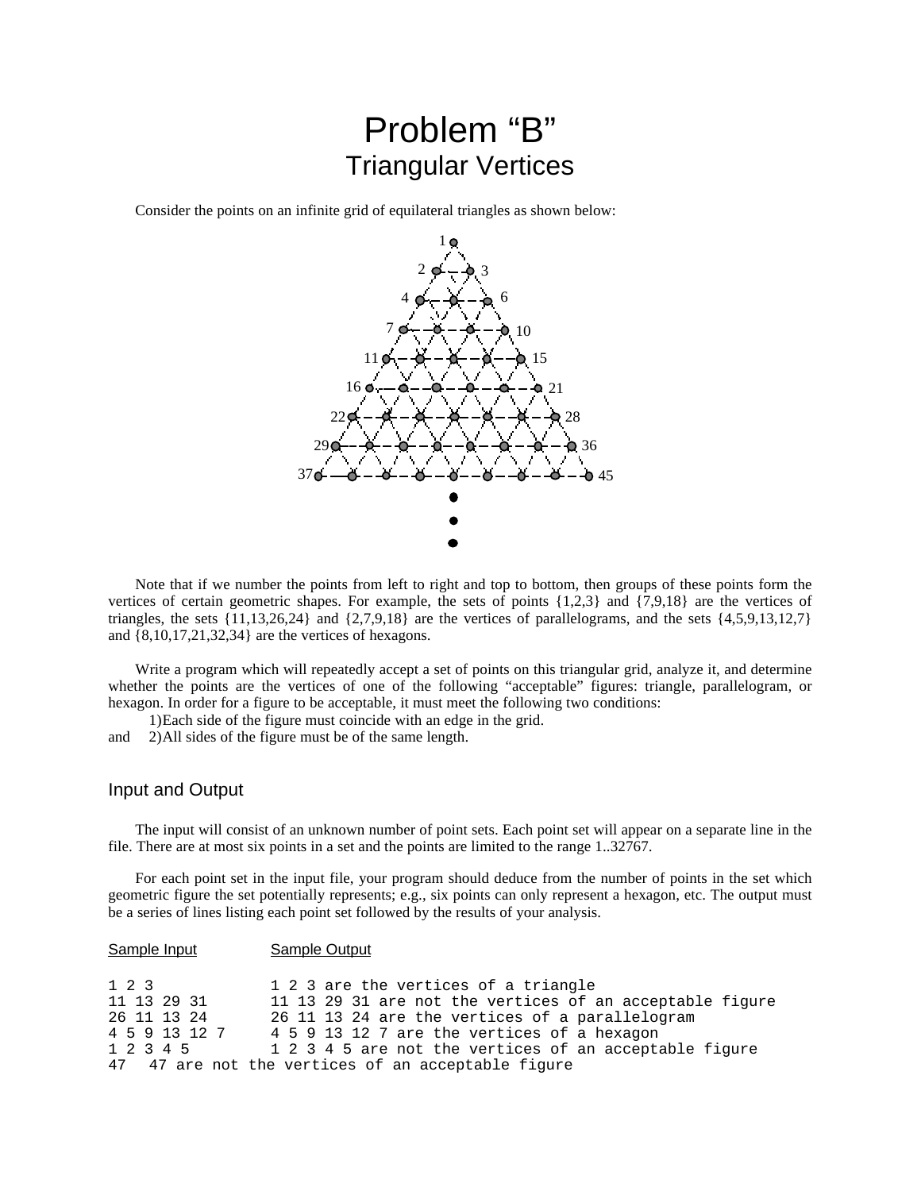# Problem "B" Triangular Vertices

Consider the points on an infinite grid of equilateral triangles as shown below:



Note that if we number the points from left to right and top to bottom, then groups of these points form the vertices of certain geometric shapes. For example, the sets of points {1,2,3} and {7,9,18} are the vertices of triangles, the sets  $\{11, 13, 26, 24\}$  and  $\{2, 7, 9, 18\}$  are the vertices of parallelograms, and the sets  $\{4, 5, 9, 13, 12, 7\}$ and {8,10,17,21,32,34} are the vertices of hexagons.

Write a program which will repeatedly accept a set of points on this triangular grid, analyze it, and determine whether the points are the vertices of one of the following "acceptable" figures: triangle, parallelogram, or hexagon. In order for a figure to be acceptable, it must meet the following two conditions:

1)Each side of the figure must coincide with an edge in the grid.

and 2)All sides of the figure must be of the same length.

### Input and Output

The input will consist of an unknown number of point sets. Each point set will appear on a separate line in the file. There are at most six points in a set and the points are limited to the range 1..32767.

For each point set in the input file, your program should deduce from the number of points in the set which geometric figure the set potentially represents; e.g., six points can only represent a hexagon, etc. The output must be a series of lines listing each point set followed by the results of your analysis.

| Sample Input | Sample Output |
|--------------|---------------|
|              |               |

| 1 2 3         | 1 2 3 are the vertices of a triangle                     |
|---------------|----------------------------------------------------------|
| 11 13 29 31   | 11 13 29 31 are not the vertices of an acceptable figure |
| 26 11 13 24   | 26 11 13 24 are the vertices of a parallelogram          |
| 4 5 9 13 12 7 | 4 5 9 13 12 7 are the vertices of a hexagon              |
| 1 2 3 4 5     | 1 2 3 4 5 are not the vertices of an acceptable figure   |
|               | 47 47 are not the vertices of an acceptable figure       |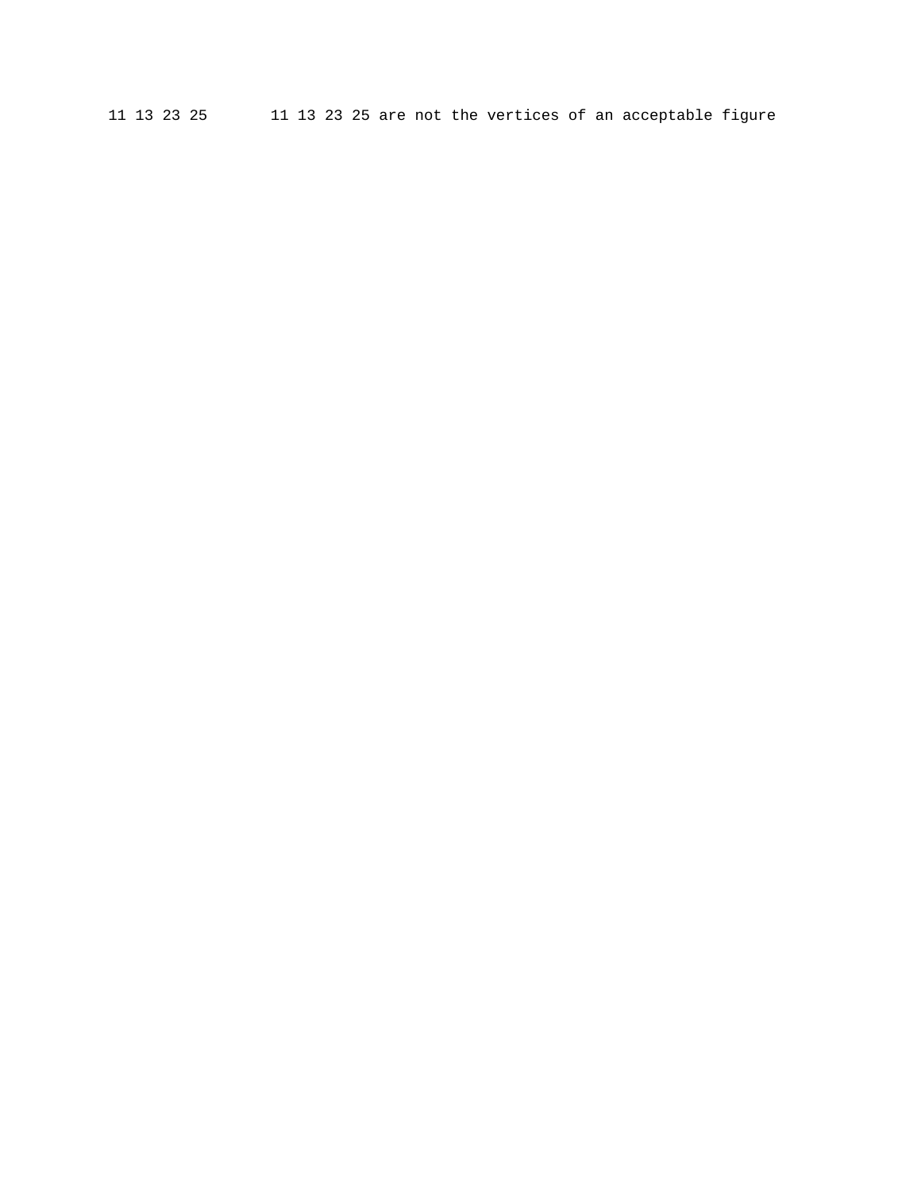11 13 23 25 11 13 23 25 are not the vertices of an acceptable figure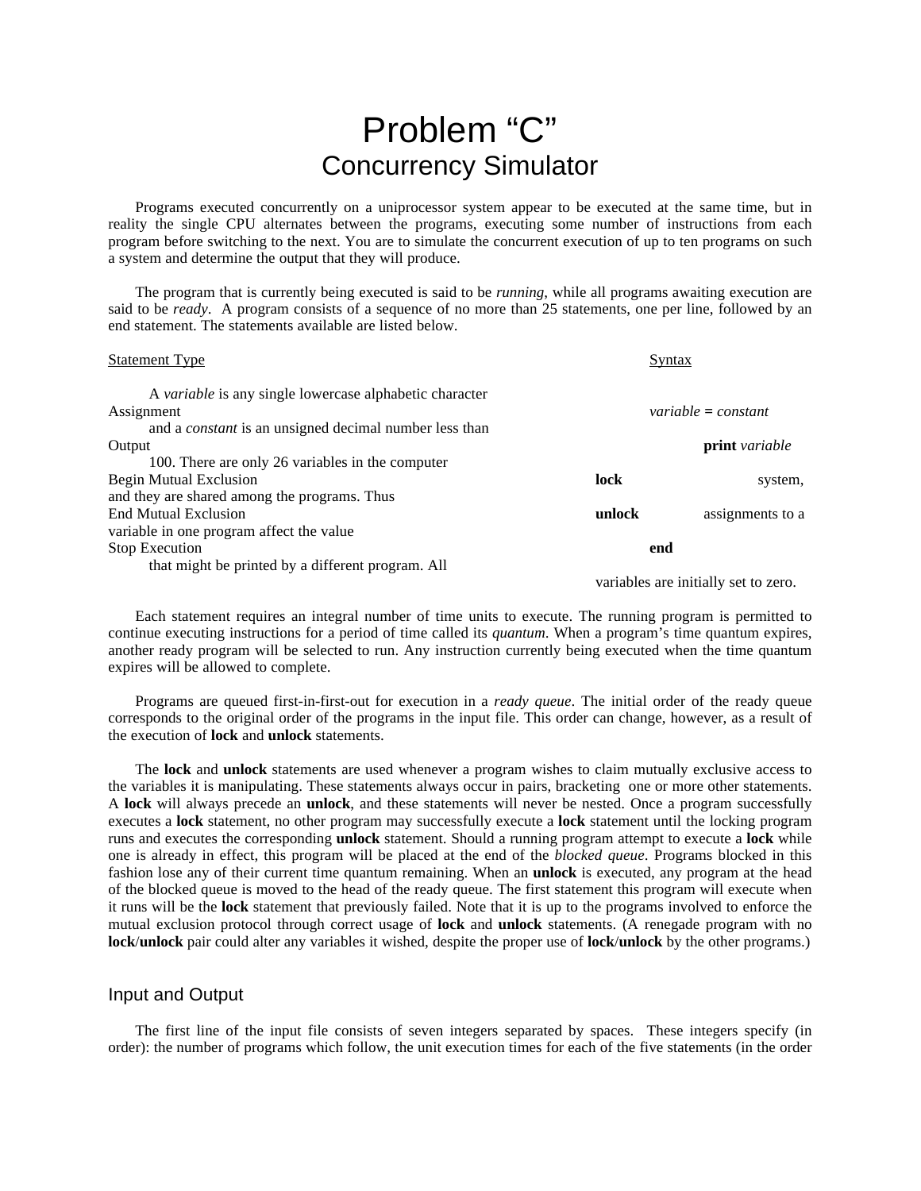# Problem "C" Concurrency Simulator

Programs executed concurrently on a uniprocessor system appear to be executed at the same time, but in reality the single CPU alternates between the programs, executing some number of instructions from each program before switching to the next. You are to simulate the concurrent execution of up to ten programs on such a system and determine the output that they will produce.

The program that is currently being executed is said to be *running*, while all programs awaiting execution are said to be *ready*. A program consists of a sequence of no more than 25 statements, one per line, followed by an end statement. The statements available are listed below.

| <b>Statement Type</b>                                          | Syntax |                                      |
|----------------------------------------------------------------|--------|--------------------------------------|
| A <i>variable</i> is any single lowercase alphabetic character |        |                                      |
| Assignment                                                     |        | variable = $constant$                |
| and a <i>constant</i> is an unsigned decimal number less than  |        |                                      |
| Output                                                         |        | <b>print</b> variable                |
| 100. There are only 26 variables in the computer               |        |                                      |
| Begin Mutual Exclusion                                         | lock   | system,                              |
| and they are shared among the programs. Thus                   |        |                                      |
| <b>End Mutual Exclusion</b>                                    | unlock | assignments to a                     |
| variable in one program affect the value                       |        |                                      |
| <b>Stop Execution</b>                                          | end    |                                      |
| that might be printed by a different program. All              |        |                                      |
|                                                                |        | variables are initially set to zero. |

Each statement requires an integral number of time units to execute. The running program is permitted to continue executing instructions for a period of time called its *quantum*. When a program's time quantum expires, another ready program will be selected to run. Any instruction currently being executed when the time quantum expires will be allowed to complete.

Programs are queued first-in-first-out for execution in a *ready queue*. The initial order of the ready queue corresponds to the original order of the programs in the input file. This order can change, however, as a result of the execution of **lock** and **unlock** statements.

The **lock** and **unlock** statements are used whenever a program wishes to claim mutually exclusive access to the variables it is manipulating. These statements always occur in pairs, bracketing one or more other statements. A **lock** will always precede an **unlock**, and these statements will never be nested. Once a program successfully executes a **lock** statement, no other program may successfully execute a **lock** statement until the locking program runs and executes the corresponding **unlock** statement. Should a running program attempt to execute a **lock** while one is already in effect, this program will be placed at the end of the *blocked queue*. Programs blocked in this fashion lose any of their current time quantum remaining. When an **unlock** is executed, any program at the head of the blocked queue is moved to the head of the ready queue. The first statement this program will execute when it runs will be the **lock** statement that previously failed. Note that it is up to the programs involved to enforce the mutual exclusion protocol through correct usage of **lock** and **unlock** statements. (A renegade program with no **lock**/**unlock** pair could alter any variables it wished, despite the proper use of **lock**/**unlock** by the other programs.)

### Input and Output

The first line of the input file consists of seven integers separated by spaces. These integers specify (in order): the number of programs which follow, the unit execution times for each of the five statements (in the order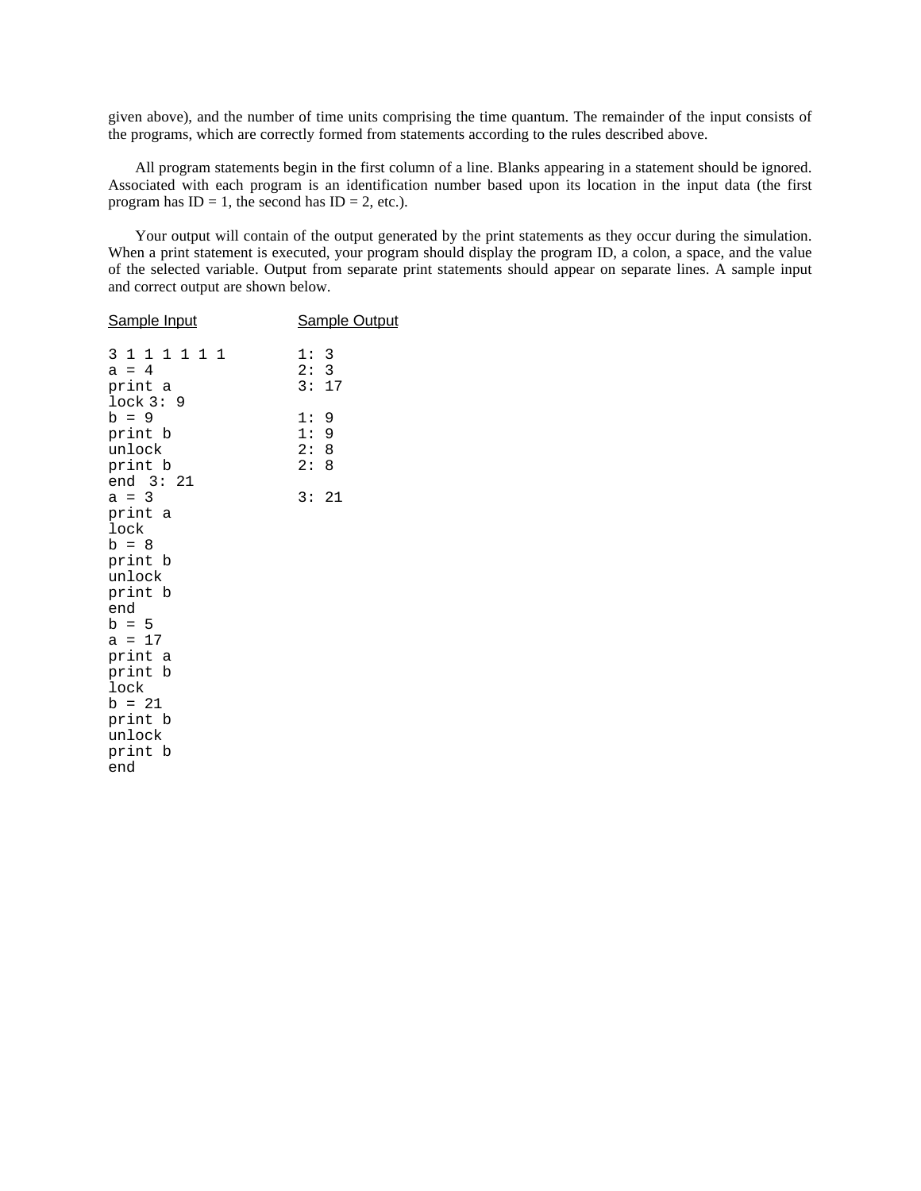given above), and the number of time units comprising the time quantum. The remainder of the input consists of the programs, which are correctly formed from statements according to the rules described above.

All program statements begin in the first column of a line. Blanks appearing in a statement should be ignored. Associated with each program is an identification number based upon its location in the input data (the first program has  $ID = 1$ , the second has  $ID = 2$ , etc.).

Your output will contain of the output generated by the print statements as they occur during the simulation. When a print statement is executed, your program should display the program ID, a colon, a space, and the value of the selected variable. Output from separate print statements should appear on separate lines. A sample input and correct output are shown below.

| Sample Input                                                                                                                                                                                                                  | <b>Sample Output</b>             |
|-------------------------------------------------------------------------------------------------------------------------------------------------------------------------------------------------------------------------------|----------------------------------|
| 3 1 1 1 1 1 1<br>$a = 4$<br>print a                                                                                                                                                                                           | 1:3<br>2:3<br>3:17               |
| lock 3:9<br>$b = 9$<br>print b<br>unlock<br>print b<br>end $3:21$<br>$a = 3$<br>print a<br>lock<br>$b = 8$<br>print b<br>unlock<br>print b<br>end<br>$b = 5$<br>$a = 17$<br>print a<br>print b<br>lock<br>$b = 21$<br>print b | 1:9<br>1:9<br>2:8<br>2:8<br>3:21 |
| unlock<br>print b<br>end                                                                                                                                                                                                      |                                  |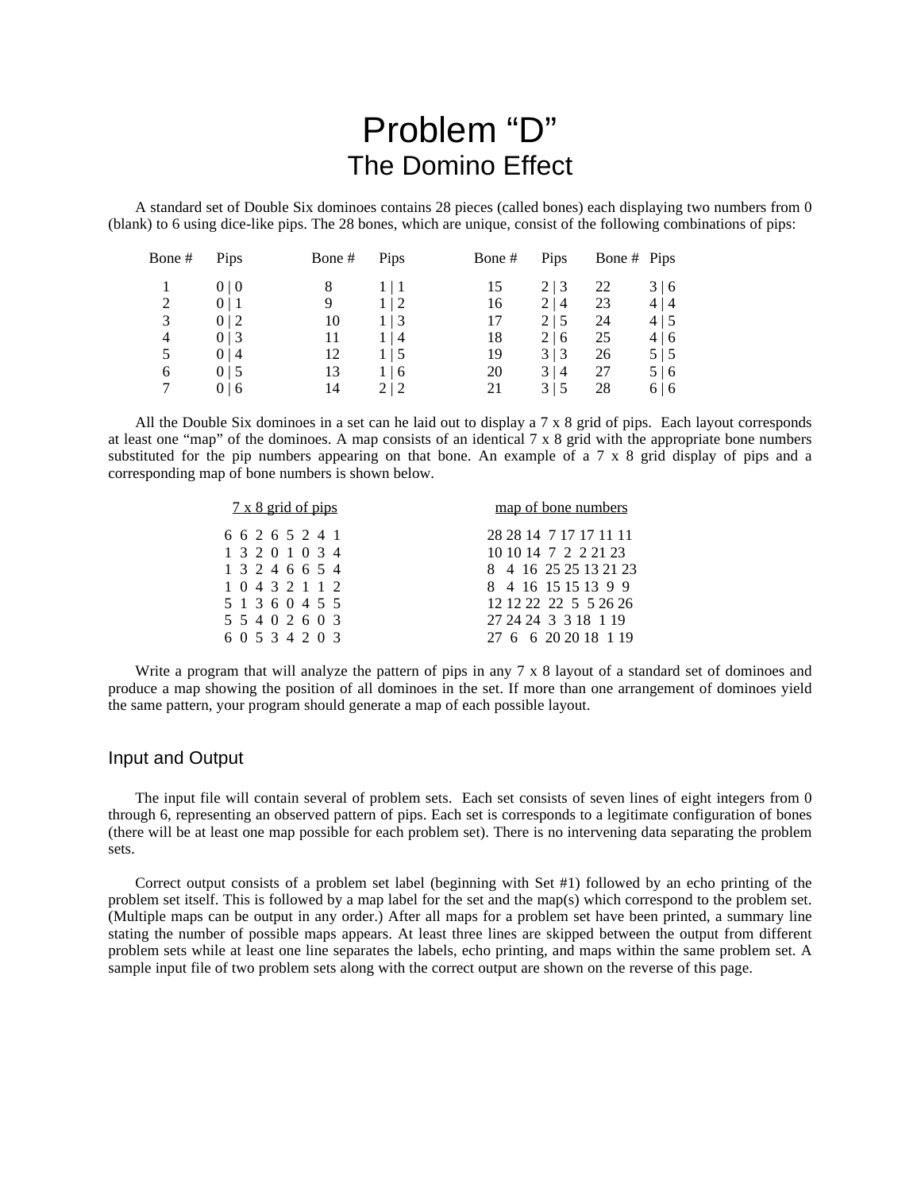# Problem "D" The Domino Effect

A standard set of Double Six dominoes contains 28 pieces (called bones) each displaying two numbers from 0 (blank) to 6 using dice-like pips. The 28 bones, which are unique, consist of the following combinations of pips:

| Bone # | Pips             | Bone# | Pips       | Bone# | Pips | Bone # Pips |            |
|--------|------------------|-------|------------|-------|------|-------------|------------|
|        | 0 <sub>0</sub>   |       | 1 1        | 15    | 2 3  | 22          | 3 6        |
| 2      | 0 1              |       | $1\vert 2$ | 16    | 2 4  | 23          | 4 4        |
| 3      | 0 <sub>12</sub>  | 10    | $1 \mid 3$ | 17    | 2 5  | 24          | 4 5        |
| 4      | 0 <sup>1</sup> 3 | 11    | $1 \mid 4$ | 18    | 2 6  | 25          | 4 6        |
| 5      | 0 <sup> 4</sup>  | 12    | $1 \mid 5$ | 19    | 3 3  | 26          | $5 \mid 5$ |
| 6      | 0 <sub>15</sub>  | 13    | $1 \mid 6$ | 20    | 3 4  | 27          | 5 6        |
| 7      | 0 <sub>16</sub>  | 14    | 2 2        | 21    | 3 5  | 28          | 6 6        |

All the Double Six dominoes in a set can he laid out to display a 7 x 8 grid of pips. Each layout corresponds at least one "map" of the dominoes. A map consists of an identical 7 x 8 grid with the appropriate bone numbers substituted for the pip numbers appearing on that bone. An example of a 7 x 8 grid display of pips and a corresponding map of bone numbers is shown below.

| $7 \times 8$ grid of pips          | map of bone numbers                            |
|------------------------------------|------------------------------------------------|
| 6 6 2 6 5 2 4 1<br>1 3 2 0 1 0 3 4 | 28 28 14 7 17 17 11 11<br>10 10 14 7 2 2 21 23 |
| 1 3 2 4 6 6 5 4                    | 8 4 16 25 25 13 21 23                          |
| 1 0 4 3 2 1 1 2                    | 8 4 16 15 15 13 9 9                            |
| 5 1 3 6 0 4 5 5                    | 12 12 22 22 5 5 26 26                          |
| 5 5 4 0 2 6 0 3                    | 27 24 24 3 3 18 1 19                           |
| 6 0 5 3 4 2 0 3                    | 27 6 6 20 20 18 1 19                           |

Write a program that will analyze the pattern of pips in any 7 x 8 layout of a standard set of dominoes and produce a map showing the position of all dominoes in the set. If more than one arrangement of dominoes yield the same pattern, your program should generate a map of each possible layout.

### Input and Output

The input file will contain several of problem sets. Each set consists of seven lines of eight integers from 0 through 6, representing an observed pattern of pips. Each set is corresponds to a legitimate configuration of bones (there will be at least one map possible for each problem set). There is no intervening data separating the problem sets.

Correct output consists of a problem set label (beginning with Set #1) followed by an echo printing of the problem set itself. This is followed by a map label for the set and the map(s) which correspond to the problem set. (Multiple maps can be output in any order.) After all maps for a problem set have been printed, a summary line stating the number of possible maps appears. At least three lines are skipped between the output from different problem sets while at least one line separates the labels, echo printing, and maps within the same problem set. A sample input file of two problem sets along with the correct output are shown on the reverse of this page.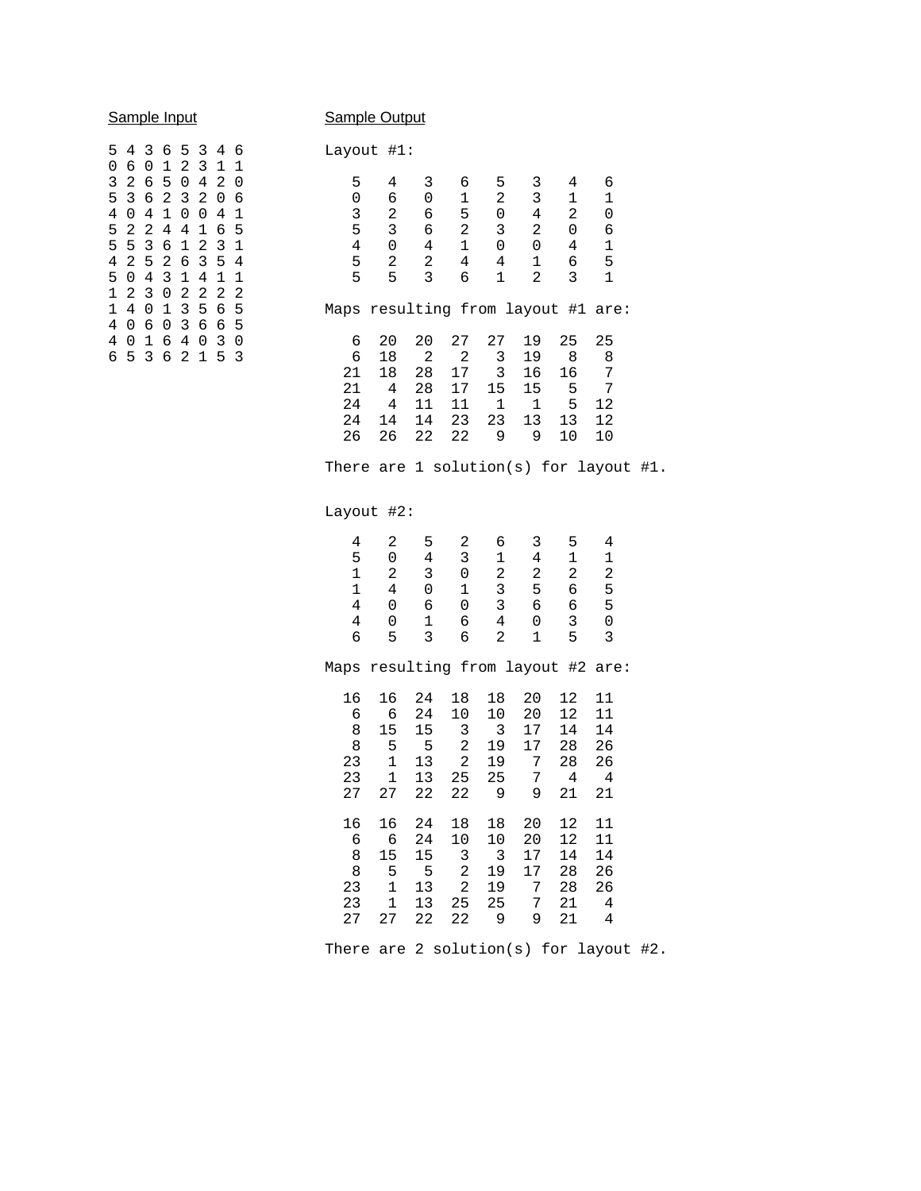## Sample Input Sample Output

| 5. | 4 | 3  | 6            | 53           |   | 4               | 6  | Layout #1: |  |
|----|---|----|--------------|--------------|---|-----------------|----|------------|--|
| 0  | 6 | 0  | $\mathbf{1}$ | 2 3          |   | 1               | 1  |            |  |
| 3  | 2 | 6  | 5            | 0            | 4 | 2               | 0  | 5<br>4     |  |
| 5  | 3 | 6  | 2            | $\mathbf{3}$ | 2 | 0               | 6  | Ω<br>6     |  |
| 4  | 0 | 4  | 1            | 0            | 0 | 4               | 1  | 3<br>2     |  |
| 5  | 2 | 2  | 4            | 4            | 1 | 6               | 5  | 5<br>3     |  |
| 5  | 5 | 3  | 6            | 1            | 2 | 3               | 1  | 4          |  |
| 4  | 2 | -5 | 26           |              | 3 | $5\phantom{.0}$ | 4  | 5<br>2     |  |
| 5  | 0 | 4  | 3            | 1            | 4 | 1               | 1  | 5<br>5     |  |
| 1  | 2 | 3  | O            | 2            | 2 | 2               | -2 |            |  |
|    | 4 | O  | 1            | 3            | 5 | 6               | 5  | Maps resul |  |
| 4  | 0 | 6  | 0            | 3            | 6 | 6               | 5  |            |  |
| 4  | O | 1  | 6            | 4            | 0 | 3               | 0  | 6<br>20    |  |
| 6  | 5 | 3  | 6            | 2            | 1 | 5               | 3  | 6<br>18    |  |

| 6<br>5<br>$\mathsf 0$<br>$\overline{4}$<br>2<br>5<br>2<br>3<br>5<br>3<br>6<br>0<br>4<br>6<br>4<br>6<br>$\sqrt{2}$<br>$\mathsf 3$<br>2<br>3<br>2<br>0<br>0<br>6<br>1<br>3<br>1<br>1<br>6<br>0<br>$\mathbf 1$<br>3<br>2<br>5<br>2<br>4<br>0<br>4<br>6<br>0<br>4<br>0<br>0<br>0<br>1<br>5<br>$\sqrt{2}$<br>3<br>2<br>3<br>6<br>2<br>4<br>4<br>1<br>5<br>6<br>2<br>0<br>6<br>5<br>$\mathsf 3$<br>$\epsilon$<br>$\mathbf{1}$<br>$\sqrt{2}$<br>4<br>4<br>5<br>3<br>0<br>1<br>4<br>1<br>1<br>0<br>0<br>$\mathsf S$<br>$\sqrt{2}$<br>5<br>$\overline{\mathbf{c}}$<br>4<br>2<br>6<br>3<br>5<br>2<br>4<br>4<br>1<br>6<br>5<br>4<br>5<br>5<br>5<br>$\,4$<br>$\mathsf 3$<br>$\mathbf 1$<br>3<br>1<br>2<br>3<br>1<br>$\overline{0}$<br>4<br>1<br>6<br>1<br>3<br>2<br>2<br>2<br>2<br>1<br>2<br>0<br>$\mathbf 1$<br>$\mathbf{3}$<br>5<br>0<br>6<br>5<br>Maps resulting from layout #1 are:<br>4<br>4<br>$\epsilon$<br>0<br>3<br>6<br>6<br>5<br>0<br>$\mathfrak{Z}$<br>$\mathbf 1$<br>6<br>$\overline{4}$<br>$\mathbf 0$<br>0<br>6<br>20<br>20<br>27<br>27<br>19<br>25<br>25<br>0<br>$\mathbf{3}$<br>5<br>6<br>2<br>$\mathbf 1$<br>5<br>6<br>2<br>2<br>3<br>3<br>18<br>19<br>8<br>8<br>21<br>28<br>$17\,$<br>3<br>7<br>18<br>16<br>16<br>15<br>7<br>21<br>4<br>28<br>17<br>15<br>5<br>4<br>5<br>12<br>24<br>11<br>11<br>1<br>1<br>24<br>23<br>23<br>13<br>13<br>12<br>14<br>14<br>26<br>26<br>22<br>22<br>9<br>9<br>$10$<br>10<br>There are 1 solution(s) for layout #1.<br>Layout #2:<br>4<br>2<br>2<br>3<br>5<br>6<br>5<br>4<br>5<br>3<br>0<br>4<br>1<br>4<br>1<br>1<br>$\mathbf 1$<br>$\overline{2}$<br>$\overline{c}$<br>$\overline{\mathbf{c}}$<br>$\overline{c}$<br>3<br>0<br>2<br>5<br>1<br>3<br>5<br>4<br>1<br>6<br>0<br>3<br>5<br>4<br>6<br>6<br>6<br>0<br>0<br>4<br>1<br>3<br>0<br>6<br>4<br>0<br>0<br>6<br>5<br>3<br>2<br>5<br>3<br>6<br>1<br>Maps resulting from layout #2 are:<br>16<br>24<br>12<br>16<br>18<br>18<br>20<br>11<br>6<br>6<br>24<br>10<br>10<br>20<br>12<br>11<br>15<br>3<br>8<br>15<br>3<br>17<br>14<br>14<br>8<br>5<br>5<br>2<br>19<br>28<br>26<br>17<br>23<br>$\mathbf 1$<br>13<br>2<br>19<br>7<br>28<br>26<br>23<br>25<br>7<br>1<br>13<br>25<br>4<br>4<br>21<br>27<br>27<br>22<br>22<br>9<br>9<br>21<br>16<br>24<br>18<br>12<br>11<br>16<br>18<br>20<br>24<br>12<br>11<br>6<br>6<br>10<br>10<br>20<br>8<br>15<br>15<br>3<br>3<br>17<br>14<br>14<br>8<br>5<br>5<br>2<br>19<br>17<br>28<br>26<br>23<br>1<br>2<br>7<br>13<br>19<br>28<br>26<br>23<br>13<br>25<br>25<br>7<br>21<br>1<br>4<br>27<br>27<br>22<br>22<br>9<br>21<br>4<br>9 | 5<br>4      | 3 | 6 | 5 | 3 | 46 |   | Layout $#1:$ |  |  |  |  |
|---------------------------------------------------------------------------------------------------------------------------------------------------------------------------------------------------------------------------------------------------------------------------------------------------------------------------------------------------------------------------------------------------------------------------------------------------------------------------------------------------------------------------------------------------------------------------------------------------------------------------------------------------------------------------------------------------------------------------------------------------------------------------------------------------------------------------------------------------------------------------------------------------------------------------------------------------------------------------------------------------------------------------------------------------------------------------------------------------------------------------------------------------------------------------------------------------------------------------------------------------------------------------------------------------------------------------------------------------------------------------------------------------------------------------------------------------------------------------------------------------------------------------------------------------------------------------------------------------------------------------------------------------------------------------------------------------------------------------------------------------------------------------------------------------------------------------------------------------------------------------------------------------------------------------------------------------------------------------------------------------------------------------------------------------------------------------------------------------------------------------------------------------------------------------------------------------------------------------------------------------------------------------------------------------------------------------------------------------------------------------------------------------------------------------------------------------------------------------------------------------------------------------------------------------|-------------|---|---|---|---|----|---|--------------|--|--|--|--|
|                                                                                                                                                                                                                                                                                                                                                                                                                                                                                                                                                                                                                                                                                                                                                                                                                                                                                                                                                                                                                                                                                                                                                                                                                                                                                                                                                                                                                                                                                                                                                                                                                                                                                                                                                                                                                                                                                                                                                                                                                                                                                                                                                                                                                                                                                                                                                                                                                                                                                                                                                   | 0<br>6<br>3 | 0 | 1 | 2 | 3 | 1  | 1 |              |  |  |  |  |
|                                                                                                                                                                                                                                                                                                                                                                                                                                                                                                                                                                                                                                                                                                                                                                                                                                                                                                                                                                                                                                                                                                                                                                                                                                                                                                                                                                                                                                                                                                                                                                                                                                                                                                                                                                                                                                                                                                                                                                                                                                                                                                                                                                                                                                                                                                                                                                                                                                                                                                                                                   | 5           |   |   |   |   |    |   |              |  |  |  |  |
|                                                                                                                                                                                                                                                                                                                                                                                                                                                                                                                                                                                                                                                                                                                                                                                                                                                                                                                                                                                                                                                                                                                                                                                                                                                                                                                                                                                                                                                                                                                                                                                                                                                                                                                                                                                                                                                                                                                                                                                                                                                                                                                                                                                                                                                                                                                                                                                                                                                                                                                                                   | 4           |   |   |   |   |    |   |              |  |  |  |  |
|                                                                                                                                                                                                                                                                                                                                                                                                                                                                                                                                                                                                                                                                                                                                                                                                                                                                                                                                                                                                                                                                                                                                                                                                                                                                                                                                                                                                                                                                                                                                                                                                                                                                                                                                                                                                                                                                                                                                                                                                                                                                                                                                                                                                                                                                                                                                                                                                                                                                                                                                                   | 5           |   |   |   |   |    |   |              |  |  |  |  |
|                                                                                                                                                                                                                                                                                                                                                                                                                                                                                                                                                                                                                                                                                                                                                                                                                                                                                                                                                                                                                                                                                                                                                                                                                                                                                                                                                                                                                                                                                                                                                                                                                                                                                                                                                                                                                                                                                                                                                                                                                                                                                                                                                                                                                                                                                                                                                                                                                                                                                                                                                   |             |   |   |   |   |    |   |              |  |  |  |  |
|                                                                                                                                                                                                                                                                                                                                                                                                                                                                                                                                                                                                                                                                                                                                                                                                                                                                                                                                                                                                                                                                                                                                                                                                                                                                                                                                                                                                                                                                                                                                                                                                                                                                                                                                                                                                                                                                                                                                                                                                                                                                                                                                                                                                                                                                                                                                                                                                                                                                                                                                                   |             |   |   |   |   |    |   |              |  |  |  |  |
|                                                                                                                                                                                                                                                                                                                                                                                                                                                                                                                                                                                                                                                                                                                                                                                                                                                                                                                                                                                                                                                                                                                                                                                                                                                                                                                                                                                                                                                                                                                                                                                                                                                                                                                                                                                                                                                                                                                                                                                                                                                                                                                                                                                                                                                                                                                                                                                                                                                                                                                                                   |             |   |   |   |   |    |   |              |  |  |  |  |
|                                                                                                                                                                                                                                                                                                                                                                                                                                                                                                                                                                                                                                                                                                                                                                                                                                                                                                                                                                                                                                                                                                                                                                                                                                                                                                                                                                                                                                                                                                                                                                                                                                                                                                                                                                                                                                                                                                                                                                                                                                                                                                                                                                                                                                                                                                                                                                                                                                                                                                                                                   | 1           |   |   |   |   |    |   |              |  |  |  |  |
|                                                                                                                                                                                                                                                                                                                                                                                                                                                                                                                                                                                                                                                                                                                                                                                                                                                                                                                                                                                                                                                                                                                                                                                                                                                                                                                                                                                                                                                                                                                                                                                                                                                                                                                                                                                                                                                                                                                                                                                                                                                                                                                                                                                                                                                                                                                                                                                                                                                                                                                                                   | 4           |   |   |   |   |    |   |              |  |  |  |  |
|                                                                                                                                                                                                                                                                                                                                                                                                                                                                                                                                                                                                                                                                                                                                                                                                                                                                                                                                                                                                                                                                                                                                                                                                                                                                                                                                                                                                                                                                                                                                                                                                                                                                                                                                                                                                                                                                                                                                                                                                                                                                                                                                                                                                                                                                                                                                                                                                                                                                                                                                                   | б.          |   |   |   |   |    |   |              |  |  |  |  |
|                                                                                                                                                                                                                                                                                                                                                                                                                                                                                                                                                                                                                                                                                                                                                                                                                                                                                                                                                                                                                                                                                                                                                                                                                                                                                                                                                                                                                                                                                                                                                                                                                                                                                                                                                                                                                                                                                                                                                                                                                                                                                                                                                                                                                                                                                                                                                                                                                                                                                                                                                   |             |   |   |   |   |    |   |              |  |  |  |  |
|                                                                                                                                                                                                                                                                                                                                                                                                                                                                                                                                                                                                                                                                                                                                                                                                                                                                                                                                                                                                                                                                                                                                                                                                                                                                                                                                                                                                                                                                                                                                                                                                                                                                                                                                                                                                                                                                                                                                                                                                                                                                                                                                                                                                                                                                                                                                                                                                                                                                                                                                                   |             |   |   |   |   |    |   |              |  |  |  |  |
|                                                                                                                                                                                                                                                                                                                                                                                                                                                                                                                                                                                                                                                                                                                                                                                                                                                                                                                                                                                                                                                                                                                                                                                                                                                                                                                                                                                                                                                                                                                                                                                                                                                                                                                                                                                                                                                                                                                                                                                                                                                                                                                                                                                                                                                                                                                                                                                                                                                                                                                                                   |             |   |   |   |   |    |   |              |  |  |  |  |
|                                                                                                                                                                                                                                                                                                                                                                                                                                                                                                                                                                                                                                                                                                                                                                                                                                                                                                                                                                                                                                                                                                                                                                                                                                                                                                                                                                                                                                                                                                                                                                                                                                                                                                                                                                                                                                                                                                                                                                                                                                                                                                                                                                                                                                                                                                                                                                                                                                                                                                                                                   |             |   |   |   |   |    |   |              |  |  |  |  |
|                                                                                                                                                                                                                                                                                                                                                                                                                                                                                                                                                                                                                                                                                                                                                                                                                                                                                                                                                                                                                                                                                                                                                                                                                                                                                                                                                                                                                                                                                                                                                                                                                                                                                                                                                                                                                                                                                                                                                                                                                                                                                                                                                                                                                                                                                                                                                                                                                                                                                                                                                   |             |   |   |   |   |    |   |              |  |  |  |  |
|                                                                                                                                                                                                                                                                                                                                                                                                                                                                                                                                                                                                                                                                                                                                                                                                                                                                                                                                                                                                                                                                                                                                                                                                                                                                                                                                                                                                                                                                                                                                                                                                                                                                                                                                                                                                                                                                                                                                                                                                                                                                                                                                                                                                                                                                                                                                                                                                                                                                                                                                                   |             |   |   |   |   |    |   |              |  |  |  |  |
|                                                                                                                                                                                                                                                                                                                                                                                                                                                                                                                                                                                                                                                                                                                                                                                                                                                                                                                                                                                                                                                                                                                                                                                                                                                                                                                                                                                                                                                                                                                                                                                                                                                                                                                                                                                                                                                                                                                                                                                                                                                                                                                                                                                                                                                                                                                                                                                                                                                                                                                                                   |             |   |   |   |   |    |   |              |  |  |  |  |
|                                                                                                                                                                                                                                                                                                                                                                                                                                                                                                                                                                                                                                                                                                                                                                                                                                                                                                                                                                                                                                                                                                                                                                                                                                                                                                                                                                                                                                                                                                                                                                                                                                                                                                                                                                                                                                                                                                                                                                                                                                                                                                                                                                                                                                                                                                                                                                                                                                                                                                                                                   |             |   |   |   |   |    |   |              |  |  |  |  |
|                                                                                                                                                                                                                                                                                                                                                                                                                                                                                                                                                                                                                                                                                                                                                                                                                                                                                                                                                                                                                                                                                                                                                                                                                                                                                                                                                                                                                                                                                                                                                                                                                                                                                                                                                                                                                                                                                                                                                                                                                                                                                                                                                                                                                                                                                                                                                                                                                                                                                                                                                   |             |   |   |   |   |    |   |              |  |  |  |  |
|                                                                                                                                                                                                                                                                                                                                                                                                                                                                                                                                                                                                                                                                                                                                                                                                                                                                                                                                                                                                                                                                                                                                                                                                                                                                                                                                                                                                                                                                                                                                                                                                                                                                                                                                                                                                                                                                                                                                                                                                                                                                                                                                                                                                                                                                                                                                                                                                                                                                                                                                                   |             |   |   |   |   |    |   |              |  |  |  |  |
|                                                                                                                                                                                                                                                                                                                                                                                                                                                                                                                                                                                                                                                                                                                                                                                                                                                                                                                                                                                                                                                                                                                                                                                                                                                                                                                                                                                                                                                                                                                                                                                                                                                                                                                                                                                                                                                                                                                                                                                                                                                                                                                                                                                                                                                                                                                                                                                                                                                                                                                                                   |             |   |   |   |   |    |   |              |  |  |  |  |
|                                                                                                                                                                                                                                                                                                                                                                                                                                                                                                                                                                                                                                                                                                                                                                                                                                                                                                                                                                                                                                                                                                                                                                                                                                                                                                                                                                                                                                                                                                                                                                                                                                                                                                                                                                                                                                                                                                                                                                                                                                                                                                                                                                                                                                                                                                                                                                                                                                                                                                                                                   |             |   |   |   |   |    |   |              |  |  |  |  |
|                                                                                                                                                                                                                                                                                                                                                                                                                                                                                                                                                                                                                                                                                                                                                                                                                                                                                                                                                                                                                                                                                                                                                                                                                                                                                                                                                                                                                                                                                                                                                                                                                                                                                                                                                                                                                                                                                                                                                                                                                                                                                                                                                                                                                                                                                                                                                                                                                                                                                                                                                   |             |   |   |   |   |    |   |              |  |  |  |  |
|                                                                                                                                                                                                                                                                                                                                                                                                                                                                                                                                                                                                                                                                                                                                                                                                                                                                                                                                                                                                                                                                                                                                                                                                                                                                                                                                                                                                                                                                                                                                                                                                                                                                                                                                                                                                                                                                                                                                                                                                                                                                                                                                                                                                                                                                                                                                                                                                                                                                                                                                                   |             |   |   |   |   |    |   |              |  |  |  |  |
|                                                                                                                                                                                                                                                                                                                                                                                                                                                                                                                                                                                                                                                                                                                                                                                                                                                                                                                                                                                                                                                                                                                                                                                                                                                                                                                                                                                                                                                                                                                                                                                                                                                                                                                                                                                                                                                                                                                                                                                                                                                                                                                                                                                                                                                                                                                                                                                                                                                                                                                                                   |             |   |   |   |   |    |   |              |  |  |  |  |
|                                                                                                                                                                                                                                                                                                                                                                                                                                                                                                                                                                                                                                                                                                                                                                                                                                                                                                                                                                                                                                                                                                                                                                                                                                                                                                                                                                                                                                                                                                                                                                                                                                                                                                                                                                                                                                                                                                                                                                                                                                                                                                                                                                                                                                                                                                                                                                                                                                                                                                                                                   |             |   |   |   |   |    |   |              |  |  |  |  |
|                                                                                                                                                                                                                                                                                                                                                                                                                                                                                                                                                                                                                                                                                                                                                                                                                                                                                                                                                                                                                                                                                                                                                                                                                                                                                                                                                                                                                                                                                                                                                                                                                                                                                                                                                                                                                                                                                                                                                                                                                                                                                                                                                                                                                                                                                                                                                                                                                                                                                                                                                   |             |   |   |   |   |    |   |              |  |  |  |  |
|                                                                                                                                                                                                                                                                                                                                                                                                                                                                                                                                                                                                                                                                                                                                                                                                                                                                                                                                                                                                                                                                                                                                                                                                                                                                                                                                                                                                                                                                                                                                                                                                                                                                                                                                                                                                                                                                                                                                                                                                                                                                                                                                                                                                                                                                                                                                                                                                                                                                                                                                                   |             |   |   |   |   |    |   |              |  |  |  |  |
|                                                                                                                                                                                                                                                                                                                                                                                                                                                                                                                                                                                                                                                                                                                                                                                                                                                                                                                                                                                                                                                                                                                                                                                                                                                                                                                                                                                                                                                                                                                                                                                                                                                                                                                                                                                                                                                                                                                                                                                                                                                                                                                                                                                                                                                                                                                                                                                                                                                                                                                                                   |             |   |   |   |   |    |   |              |  |  |  |  |
|                                                                                                                                                                                                                                                                                                                                                                                                                                                                                                                                                                                                                                                                                                                                                                                                                                                                                                                                                                                                                                                                                                                                                                                                                                                                                                                                                                                                                                                                                                                                                                                                                                                                                                                                                                                                                                                                                                                                                                                                                                                                                                                                                                                                                                                                                                                                                                                                                                                                                                                                                   |             |   |   |   |   |    |   |              |  |  |  |  |
|                                                                                                                                                                                                                                                                                                                                                                                                                                                                                                                                                                                                                                                                                                                                                                                                                                                                                                                                                                                                                                                                                                                                                                                                                                                                                                                                                                                                                                                                                                                                                                                                                                                                                                                                                                                                                                                                                                                                                                                                                                                                                                                                                                                                                                                                                                                                                                                                                                                                                                                                                   |             |   |   |   |   |    |   |              |  |  |  |  |
|                                                                                                                                                                                                                                                                                                                                                                                                                                                                                                                                                                                                                                                                                                                                                                                                                                                                                                                                                                                                                                                                                                                                                                                                                                                                                                                                                                                                                                                                                                                                                                                                                                                                                                                                                                                                                                                                                                                                                                                                                                                                                                                                                                                                                                                                                                                                                                                                                                                                                                                                                   |             |   |   |   |   |    |   |              |  |  |  |  |
|                                                                                                                                                                                                                                                                                                                                                                                                                                                                                                                                                                                                                                                                                                                                                                                                                                                                                                                                                                                                                                                                                                                                                                                                                                                                                                                                                                                                                                                                                                                                                                                                                                                                                                                                                                                                                                                                                                                                                                                                                                                                                                                                                                                                                                                                                                                                                                                                                                                                                                                                                   |             |   |   |   |   |    |   |              |  |  |  |  |
|                                                                                                                                                                                                                                                                                                                                                                                                                                                                                                                                                                                                                                                                                                                                                                                                                                                                                                                                                                                                                                                                                                                                                                                                                                                                                                                                                                                                                                                                                                                                                                                                                                                                                                                                                                                                                                                                                                                                                                                                                                                                                                                                                                                                                                                                                                                                                                                                                                                                                                                                                   |             |   |   |   |   |    |   |              |  |  |  |  |
|                                                                                                                                                                                                                                                                                                                                                                                                                                                                                                                                                                                                                                                                                                                                                                                                                                                                                                                                                                                                                                                                                                                                                                                                                                                                                                                                                                                                                                                                                                                                                                                                                                                                                                                                                                                                                                                                                                                                                                                                                                                                                                                                                                                                                                                                                                                                                                                                                                                                                                                                                   |             |   |   |   |   |    |   |              |  |  |  |  |
|                                                                                                                                                                                                                                                                                                                                                                                                                                                                                                                                                                                                                                                                                                                                                                                                                                                                                                                                                                                                                                                                                                                                                                                                                                                                                                                                                                                                                                                                                                                                                                                                                                                                                                                                                                                                                                                                                                                                                                                                                                                                                                                                                                                                                                                                                                                                                                                                                                                                                                                                                   |             |   |   |   |   |    |   |              |  |  |  |  |
|                                                                                                                                                                                                                                                                                                                                                                                                                                                                                                                                                                                                                                                                                                                                                                                                                                                                                                                                                                                                                                                                                                                                                                                                                                                                                                                                                                                                                                                                                                                                                                                                                                                                                                                                                                                                                                                                                                                                                                                                                                                                                                                                                                                                                                                                                                                                                                                                                                                                                                                                                   |             |   |   |   |   |    |   |              |  |  |  |  |

There are 2 solution(s) for layout #2.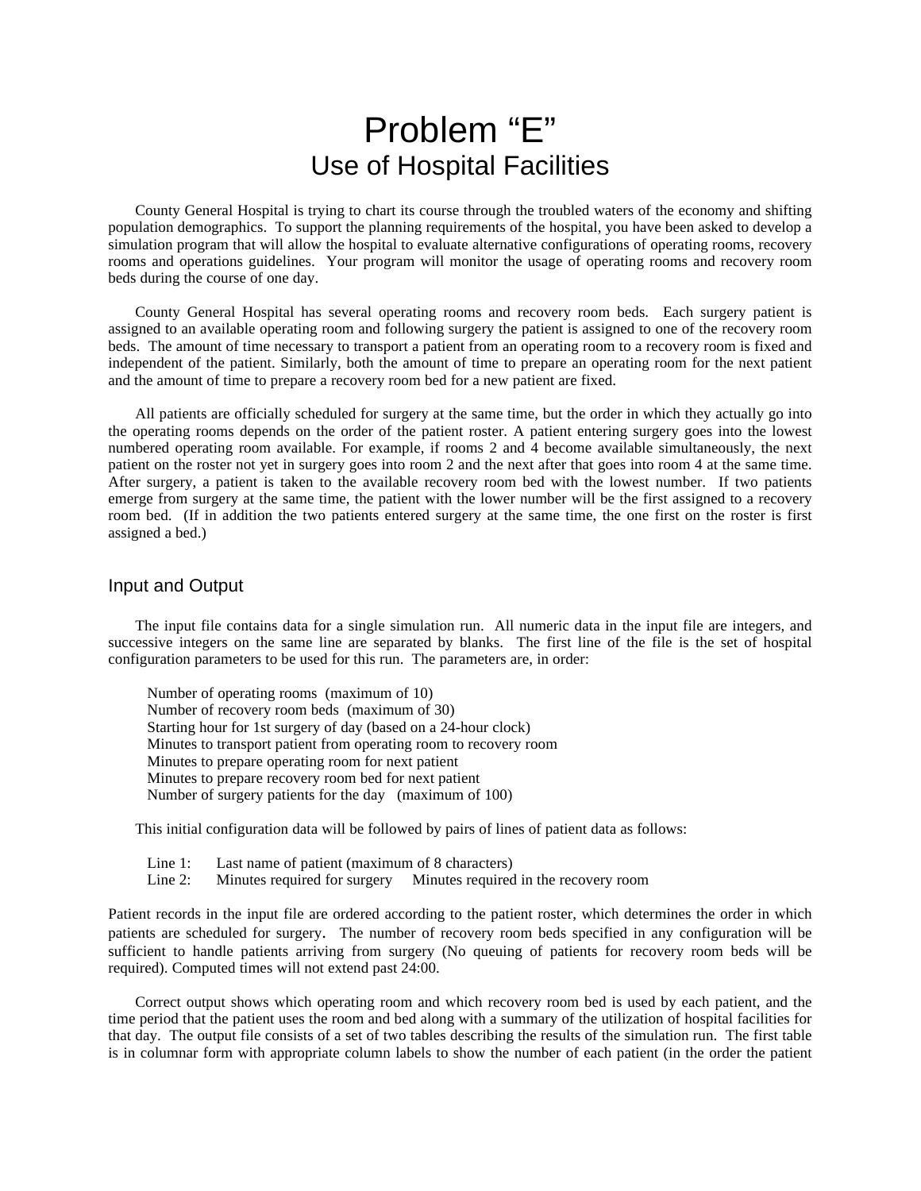# Problem "E" Use of Hospital Facilities

County General Hospital is trying to chart its course through the troubled waters of the economy and shifting population demographics. To support the planning requirements of the hospital, you have been asked to develop a simulation program that will allow the hospital to evaluate alternative configurations of operating rooms, recovery rooms and operations guidelines. Your program will monitor the usage of operating rooms and recovery room beds during the course of one day.

County General Hospital has several operating rooms and recovery room beds. Each surgery patient is assigned to an available operating room and following surgery the patient is assigned to one of the recovery room beds. The amount of time necessary to transport a patient from an operating room to a recovery room is fixed and independent of the patient. Similarly, both the amount of time to prepare an operating room for the next patient and the amount of time to prepare a recovery room bed for a new patient are fixed.

All patients are officially scheduled for surgery at the same time, but the order in which they actually go into the operating rooms depends on the order of the patient roster. A patient entering surgery goes into the lowest numbered operating room available. For example, if rooms 2 and 4 become available simultaneously, the next patient on the roster not yet in surgery goes into room 2 and the next after that goes into room 4 at the same time. After surgery, a patient is taken to the available recovery room bed with the lowest number. If two patients emerge from surgery at the same time, the patient with the lower number will be the first assigned to a recovery room bed. (If in addition the two patients entered surgery at the same time, the one first on the roster is first assigned a bed.)

### Input and Output

The input file contains data for a single simulation run. All numeric data in the input file are integers, and successive integers on the same line are separated by blanks. The first line of the file is the set of hospital configuration parameters to be used for this run. The parameters are, in order:

 Number of operating rooms (maximum of 10) Number of recovery room beds (maximum of 30) Starting hour for 1st surgery of day (based on a 24-hour clock) Minutes to transport patient from operating room to recovery room Minutes to prepare operating room for next patient Minutes to prepare recovery room bed for next patient Number of surgery patients for the day (maximum of 100)

This initial configuration data will be followed by pairs of lines of patient data as follows:

Line 1: Last name of patient (maximum of 8 characters)

Line 2: Minutes required for surgery Minutes required in the recovery room

Patient records in the input file are ordered according to the patient roster, which determines the order in which patients are scheduled for surgery. The number of recovery room beds specified in any configuration will be sufficient to handle patients arriving from surgery (No queuing of patients for recovery room beds will be required). Computed times will not extend past 24:00.

Correct output shows which operating room and which recovery room bed is used by each patient, and the time period that the patient uses the room and bed along with a summary of the utilization of hospital facilities for that day. The output file consists of a set of two tables describing the results of the simulation run. The first table is in columnar form with appropriate column labels to show the number of each patient (in the order the patient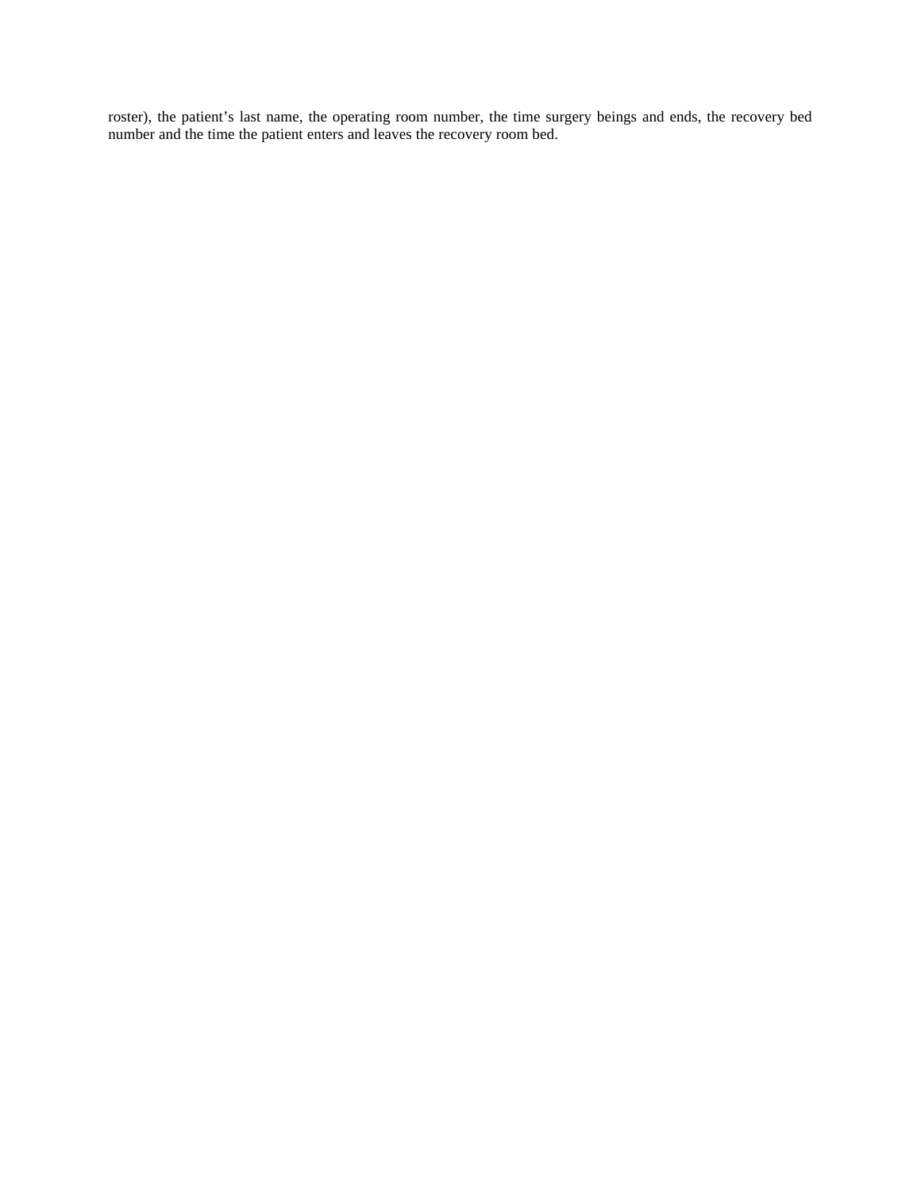roster), the patient's last name, the operating room number, the time surgery beings and ends, the recovery bed number and the time the patient enters and leaves the recovery room bed.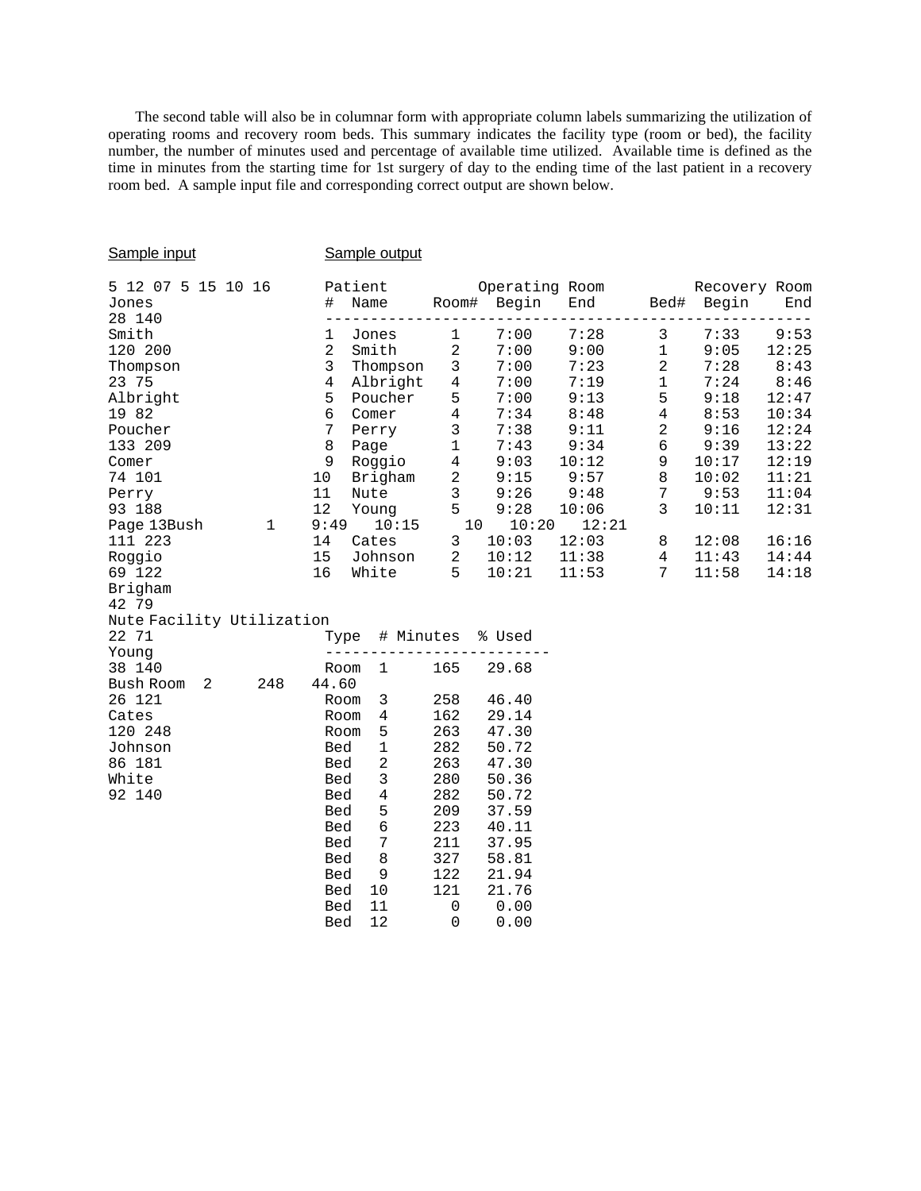The second table will also be in columnar form with appropriate column labels summarizing the utilization of operating rooms and recovery room beds. This summary indicates the facility type (room or bed), the facility number, the number of minutes used and percentage of available time utilized. Available time is defined as the time in minutes from the starting time for 1st surgery of day to the ending time of the last patient in a recovery room bed. A sample input file and corresponding correct output are shown below.

| Sample input                          |     |                 | Sample output                    |                         |                                                               |                                          |                                       |               |                |
|---------------------------------------|-----|-----------------|----------------------------------|-------------------------|---------------------------------------------------------------|------------------------------------------|---------------------------------------|---------------|----------------|
| 5 12 07 5 15 10 16<br>Jones<br>28 140 |     | #               |                                  |                         | Name Room# Begin                                              | Patient Operating Room<br>End Bed# Begin |                                       | Recovery Room | End            |
| Smith                                 |     |                 | 1 Jones 1                        |                         | 7:00                                                          | $7:28$ 3                                 |                                       | $7:33$ $9:53$ |                |
| 120 200                               |     | $\overline{a}$  | Smith                            | $\overline{\mathbf{c}}$ | 7:00                                                          | 9:00                                     | 1                                     | $9:05$ 12:25  |                |
| Thompson                              |     | $\mathbf{3}$    |                                  |                         | Smith<br>Thompson 3 7:00<br>Noticht 4 7:00                    | 7:23                                     | $\begin{array}{c} 2 \\ 1 \end{array}$ | 7:28          | 8:43           |
| 23 75                                 |     | $\overline{4}$  | Albright 4<br>Poucher 5          |                         |                                                               | 7:19<br>9:13                             | 1<br>5 <sup>5</sup>                   | 7:24          | 8:46           |
| Albright<br>19 82                     |     | 5<br>6          | Comer                            | $4\overline{4}$         | 7:00<br>7:34                                                  | 8:48                                     | $4\overline{ }$                       | 9:18<br>8:53  | 12:47<br>10:34 |
| Poucher                               |     | $7\overline{ }$ |                                  |                         |                                                               |                                          | $\overline{a}$                        | 9:16          | 12:24          |
| 133 209                               |     | 8               |                                  |                         | Perry 3 7:38<br>Page 1 7:43<br>Roggio 4 9:03                  | 9:11<br>9:34                             | $6\overline{}$                        | 9:39          | 13:22          |
| Comer                                 |     | 9               |                                  |                         |                                                               | 10:12                                    | 9                                     | 10:17         | 12:19          |
| 74 101                                |     | 10              |                                  |                         |                                                               |                                          | 8                                     | 10:02         | 11:21          |
| Perry                                 |     | 11              |                                  |                         |                                                               |                                          | 7 <sup>7</sup>                        | 9:53          | 11:04          |
| 93 188                                |     | 12              |                                  |                         | Brigham 2 9:15 9:57<br>Nute 3 9:26 9:48<br>Young 5 9:28 10:06 |                                          | $\mathbf{3}$                          | 10:11         | 12:31          |
| Page 13Bush 1                         |     | 9:49            | $\frac{10:15}{2}$ 10<br>tes 3 10 |                         | 10:20                                                         | 12:21                                    |                                       |               |                |
| 111 223                               |     | 14              | Cates                            |                         | 10:03                                                         | 12:03                                    | 8                                     | 12:08         | 16:16          |
| Roggio                                |     | 15              | Johnson 2<br>White 5             |                         | $10:12 \ 10:21$                                               | $11:38$<br>$11:53$                       | $4\overline{ }$                       | 11:43         | 14:44          |
| 69 122                                |     | 16              |                                  |                         |                                                               |                                          | $7\overline{ }$                       | 11:58         | 14:18          |
| Brigham<br>42 79                      |     |                 |                                  |                         |                                                               |                                          |                                       |               |                |
| Nute Facility Utilization             |     |                 |                                  |                         |                                                               |                                          |                                       |               |                |
| 22 71                                 |     |                 |                                  |                         | Type # Minutes % Used                                         |                                          |                                       |               |                |
| Young                                 |     |                 |                                  |                         | -------------------------                                     |                                          |                                       |               |                |
| 38 140                                |     | Room            | $\mathbf{1}$                     | 165                     | 29.68                                                         |                                          |                                       |               |                |
| Bush Room 2                           | 248 | 44.60           |                                  |                         |                                                               |                                          |                                       |               |                |
| 26 121                                |     | Room            | $\overline{\mathbf{3}}$          | 258                     | 46.40                                                         |                                          |                                       |               |                |
| Cates                                 |     | Room            | 4                                | 162                     | 29.14                                                         |                                          |                                       |               |                |
| 120 248                               |     | Room<br>Bed     | 5<br>$\mathbf{1}$                | 263<br>282              | 47.30<br>50.72                                                |                                          |                                       |               |                |
| Johnson<br>86 181                     |     | Bed             | $\overline{c}$                   | 263                     | 47.30                                                         |                                          |                                       |               |                |
| White                                 |     | Bed             | $\mathbf{3}$                     | 280                     | 50.36                                                         |                                          |                                       |               |                |
| 92 140                                |     | Bed             | $\overline{4}$                   | 282                     | 50.72                                                         |                                          |                                       |               |                |
|                                       |     | Bed             | 5                                | 209                     | 37.59                                                         |                                          |                                       |               |                |
|                                       |     | Bed             | 6                                | 223                     | 40.11                                                         |                                          |                                       |               |                |
|                                       |     | Bed             | 7                                | 211                     | 37.95                                                         |                                          |                                       |               |                |
|                                       |     | Bed             | 8                                | 327                     | 58.81                                                         |                                          |                                       |               |                |
|                                       |     | Bed             | 9                                | 122                     | 21.94                                                         |                                          |                                       |               |                |
|                                       |     | Bed             | 10                               | 121                     | 21.76                                                         |                                          |                                       |               |                |
|                                       |     | Bed             | 11                               | 0                       | 0.00                                                          |                                          |                                       |               |                |
|                                       |     | <b>Bed</b>      | 12                               | $\Omega$                | 0.00                                                          |                                          |                                       |               |                |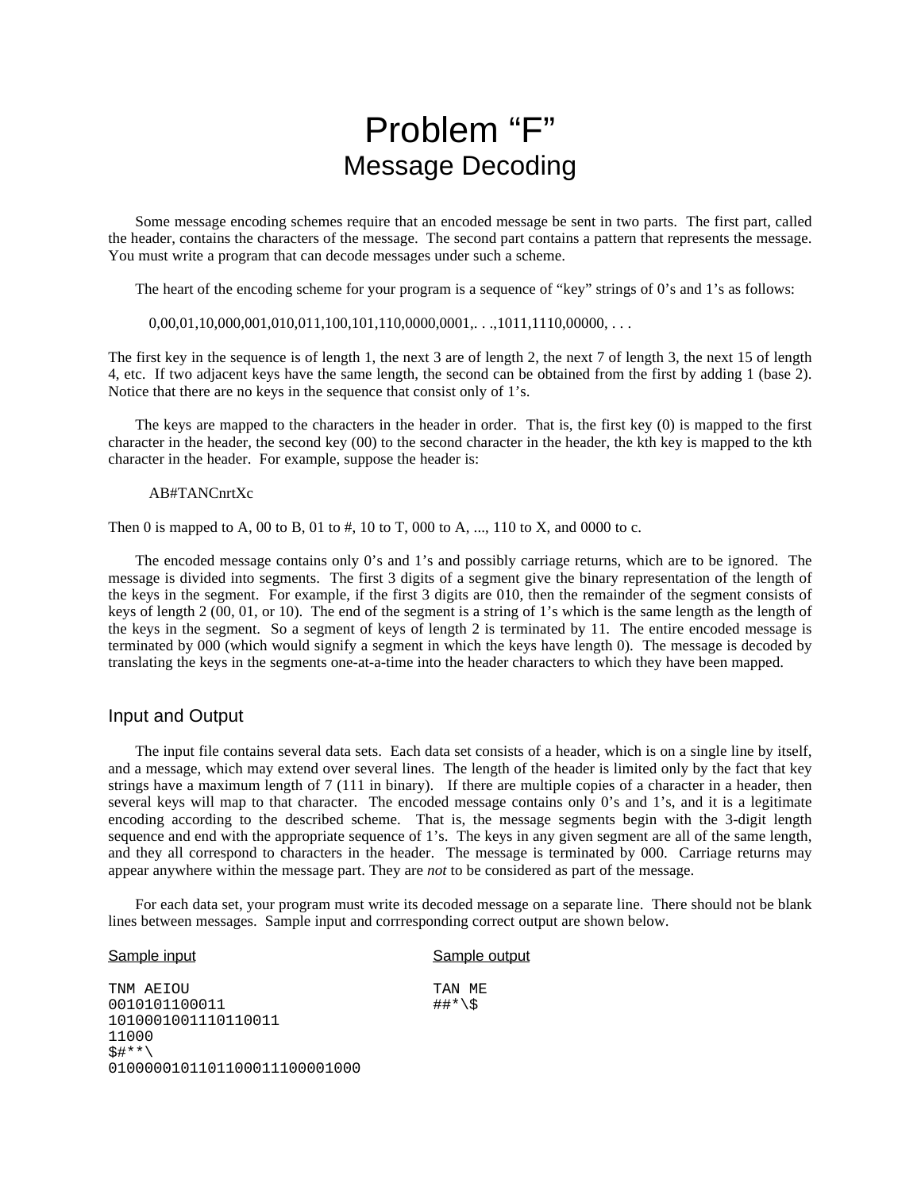# Problem "F" Message Decoding

Some message encoding schemes require that an encoded message be sent in two parts. The first part, called the header, contains the characters of the message. The second part contains a pattern that represents the message. You must write a program that can decode messages under such a scheme.

The heart of the encoding scheme for your program is a sequence of "key" strings of 0's and 1's as follows:

 $0,00,01,10,000,001,010,011,100,101,110,0000,0001,\ldots,1011,1110,00000,\ldots$ 

The first key in the sequence is of length 1, the next 3 are of length 2, the next 7 of length 3, the next 15 of length 4, etc. If two adjacent keys have the same length, the second can be obtained from the first by adding 1 (base 2). Notice that there are no keys in the sequence that consist only of 1's.

The keys are mapped to the characters in the header in order. That is, the first key (0) is mapped to the first character in the header, the second key (00) to the second character in the header, the kth key is mapped to the kth character in the header. For example, suppose the header is:

#### AB#TANCnrtXc

Then 0 is mapped to A, 00 to B, 01 to #, 10 to T, 000 to A, ..., 110 to X, and 0000 to c.

The encoded message contains only 0's and 1's and possibly carriage returns, which are to be ignored. The message is divided into segments. The first 3 digits of a segment give the binary representation of the length of the keys in the segment. For example, if the first 3 digits are 010, then the remainder of the segment consists of keys of length 2 (00, 01, or 10). The end of the segment is a string of 1's which is the same length as the length of the keys in the segment. So a segment of keys of length 2 is terminated by 11. The entire encoded message is terminated by 000 (which would signify a segment in which the keys have length 0). The message is decoded by translating the keys in the segments one-at-a-time into the header characters to which they have been mapped.

### Input and Output

The input file contains several data sets. Each data set consists of a header, which is on a single line by itself, and a message, which may extend over several lines. The length of the header is limited only by the fact that key strings have a maximum length of 7 (111 in binary). If there are multiple copies of a character in a header, then several keys will map to that character. The encoded message contains only 0's and 1's, and it is a legitimate encoding according to the described scheme. That is, the message segments begin with the 3-digit length sequence and end with the appropriate sequence of 1's. The keys in any given segment are all of the same length, and they all correspond to characters in the header. The message is terminated by 000. Carriage returns may appear anywhere within the message part. They are *not* to be considered as part of the message.

For each data set, your program must write its decoded message on a separate line. There should not be blank lines between messages. Sample input and corrresponding correct output are shown below.

### Sample input Sample output

TNM AEIOU 11 12 12 13 14 14 15 0010101100011 1010001001110110011 11000 \$#\*\*\ 0100000101101100011100001000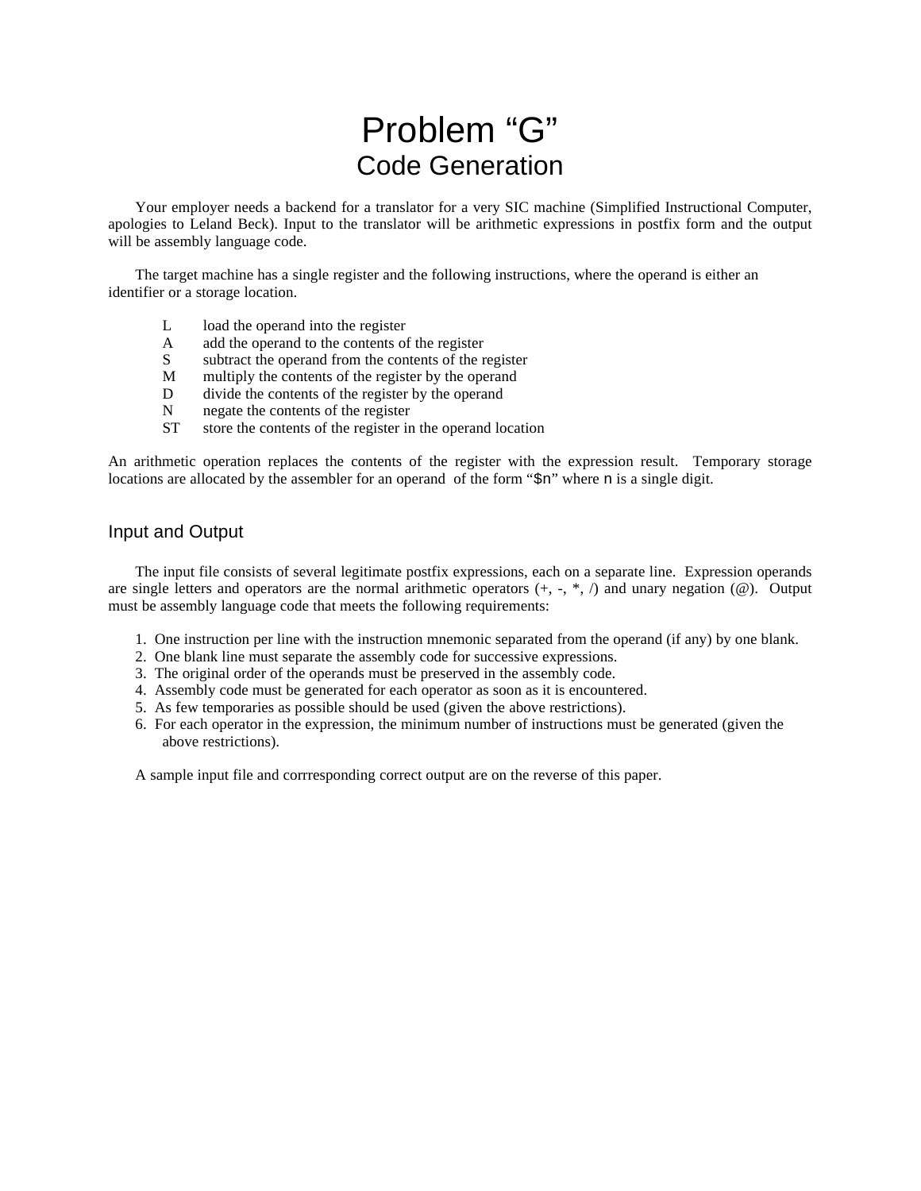# Problem "G" Code Generation

Your employer needs a backend for a translator for a very SIC machine (Simplified Instructional Computer, apologies to Leland Beck). Input to the translator will be arithmetic expressions in postfix form and the output will be assembly language code.

The target machine has a single register and the following instructions, where the operand is either an identifier or a storage location.

- L load the operand into the register<br>A add the operand to the contents of
- add the operand to the contents of the register
- S subtract the operand from the contents of the register
- M multiply the contents of the register by the operand
- D divide the contents of the register by the operand
- N negate the contents of the register
- ST store the contents of the register in the operand location

An arithmetic operation replaces the contents of the register with the expression result. Temporary storage locations are allocated by the assembler for an operand of the form "\$n" where n is a single digit.

## Input and Output

The input file consists of several legitimate postfix expressions, each on a separate line. Expression operands are single letters and operators are the normal arithmetic operators  $(+, -, *, \wedge)$  and unary negation  $(\omega)$ . Output must be assembly language code that meets the following requirements:

- 1. One instruction per line with the instruction mnemonic separated from the operand (if any) by one blank.
- 2. One blank line must separate the assembly code for successive expressions.
- 3. The original order of the operands must be preserved in the assembly code.
- 4. Assembly code must be generated for each operator as soon as it is encountered.
- 5. As few temporaries as possible should be used (given the above restrictions).
- 6. For each operator in the expression, the minimum number of instructions must be generated (given the above restrictions).

A sample input file and corrresponding correct output are on the reverse of this paper.